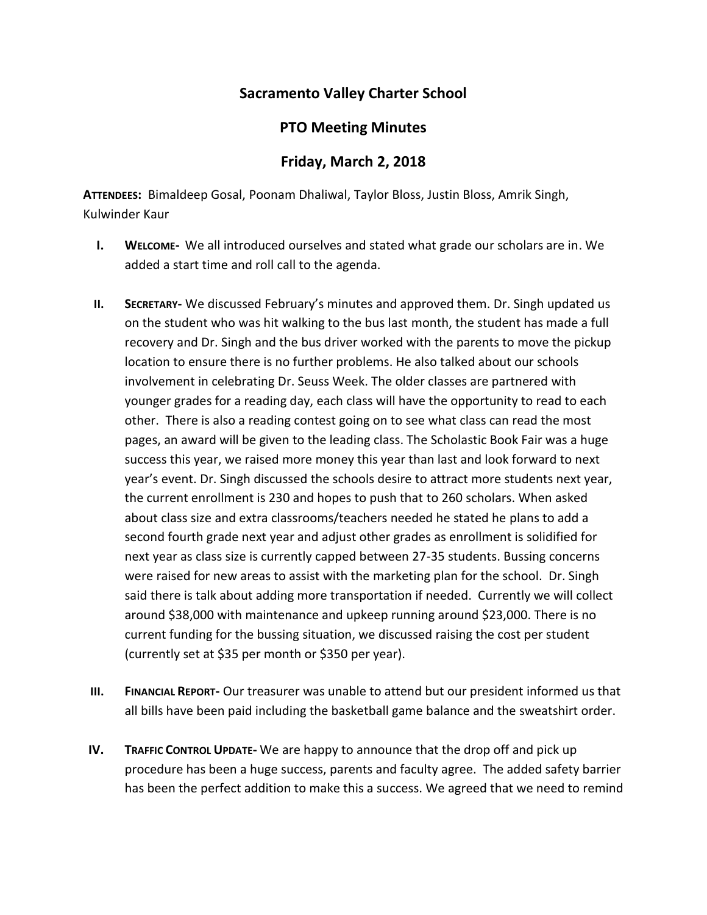## **Sacramento Valley Charter School**

## **PTO Meeting Minutes**

## **Friday, March 2, 2018**

**ATTENDEES:** Bimaldeep Gosal, Poonam Dhaliwal, Taylor Bloss, Justin Bloss, Amrik Singh, Kulwinder Kaur

- **I. WELCOME-** We all introduced ourselves and stated what grade our scholars are in. We added a start time and roll call to the agenda.
- **II. SECRETARY-** We discussed February's minutes and approved them. Dr. Singh updated us on the student who was hit walking to the bus last month, the student has made a full recovery and Dr. Singh and the bus driver worked with the parents to move the pickup location to ensure there is no further problems. He also talked about our schools involvement in celebrating Dr. Seuss Week. The older classes are partnered with younger grades for a reading day, each class will have the opportunity to read to each other. There is also a reading contest going on to see what class can read the most pages, an award will be given to the leading class. The Scholastic Book Fair was a huge success this year, we raised more money this year than last and look forward to next year's event. Dr. Singh discussed the schools desire to attract more students next year, the current enrollment is 230 and hopes to push that to 260 scholars. When asked about class size and extra classrooms/teachers needed he stated he plans to add a second fourth grade next year and adjust other grades as enrollment is solidified for next year as class size is currently capped between 27-35 students. Bussing concerns were raised for new areas to assist with the marketing plan for the school. Dr. Singh said there is talk about adding more transportation if needed. Currently we will collect around \$38,000 with maintenance and upkeep running around \$23,000. There is no current funding for the bussing situation, we discussed raising the cost per student (currently set at \$35 per month or \$350 per year).
- **III. FINANCIAL REPORT-** Our treasurer was unable to attend but our president informed us that all bills have been paid including the basketball game balance and the sweatshirt order.
- **IV. TRAFFIC CONTROL UPDATE-** We are happy to announce that the drop off and pick up procedure has been a huge success, parents and faculty agree. The added safety barrier has been the perfect addition to make this a success. We agreed that we need to remind